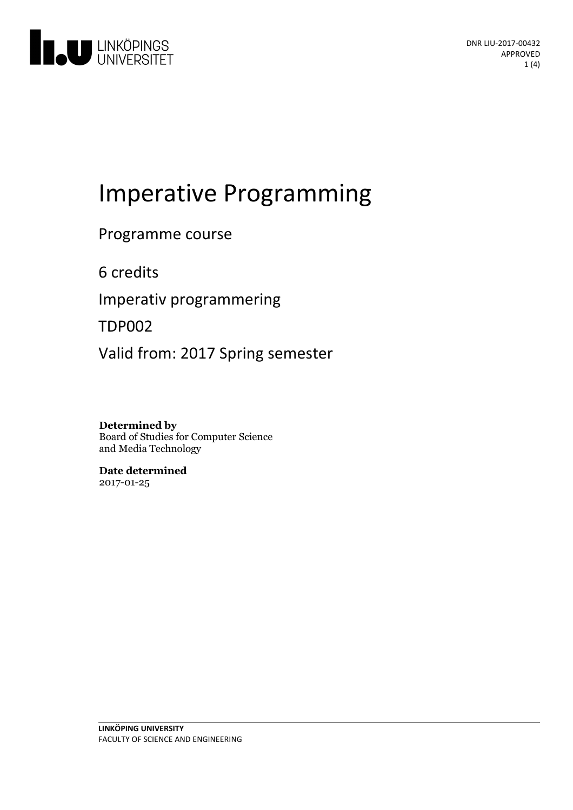

# Imperative Programming

### Programme course

6 credits

Imperativ programmering

TDP002

Valid from: 2017 Spring semester

#### **Determined by**

Board of Studies for Computer Science and Media Technology

**Date determined** 2017-01-25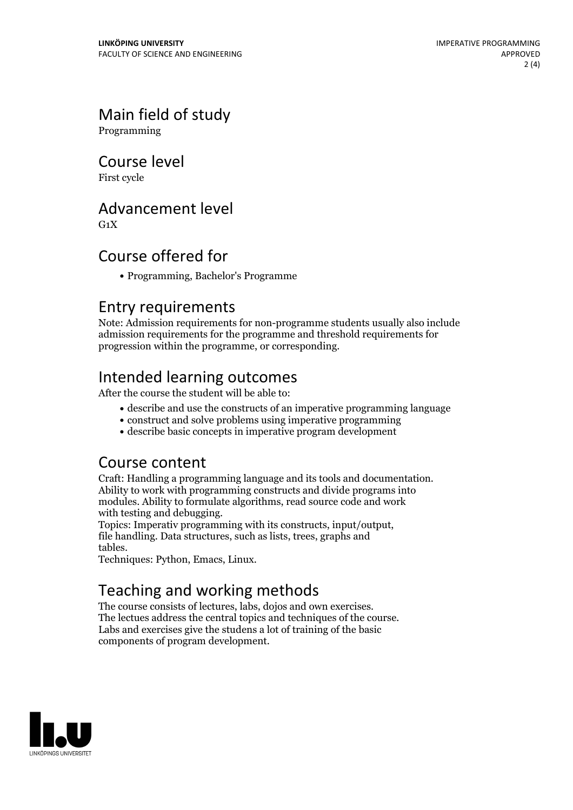## Main field of study

Programming

Course level

First cycle

#### Advancement level

 $G_1X$ 

### Course offered for

Programming, Bachelor's Programme

#### Entry requirements

Note: Admission requirements for non-programme students usually also include admission requirements for the programme and threshold requirements for progression within the programme, or corresponding.

## Intended learning outcomes

After the course the student will be able to:

- describe and use the constructs of an imperative programming language
- construct and solve problems using imperative programming
- describe basic concepts in imperative program development

#### Course content

Craft: Handling <sup>a</sup> programming language and its tools and documentation. Ability to work with programming constructs and divide programs into modules. Ability to formulate algorithms, read source code and work

with testing and debugging. Topics: Imperativ programming with its constructs, input/output, file handling. Data structures, such as lists, trees, graphs and tables. Techniques: Python, Emacs, Linux.

# Teaching and working methods<br>The course consists of lectures, labs, dojos and own exercises.

The lectues address the central topics and techniques of the course.<br>Labs and exercises give the studens a lot of training of the basic components of program development.

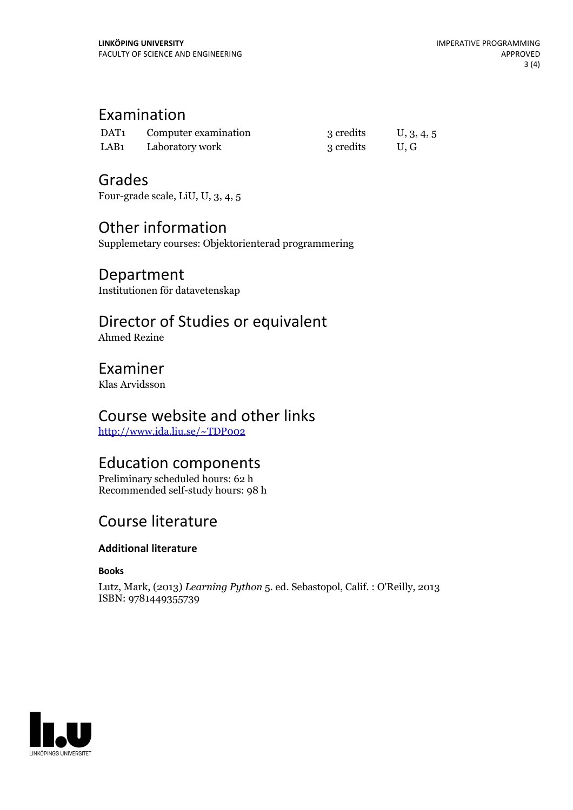### Examination

| DAT <sub>1</sub> | Computer examination | 3 credits | U, 3, 4, 5 |
|------------------|----------------------|-----------|------------|
| LAB <sub>1</sub> | Laboratory work      | 3 credits | U.G        |

#### Grades

Four-grade scale, LiU, U, 3, 4, 5

## Other information

Supplemetary courses: Objektorienterad programmering

## Department

Institutionen för datavetenskap

## Director of Studies or equivalent

Ahmed Rezine

#### Examiner

Klas Arvidsson

## Course website and other links

<http://www.ida.liu.se/~TDP002>

#### Education components

Preliminary scheduled hours: 62 h Recommended self-study hours: 98 h

## Course literature

#### **Additional literature**

**Books**

Lutz, Mark, (2013) *Learning Python* 5. ed. Sebastopol, Calif. : O'Reilly, 2013 ISBN: 9781449355739